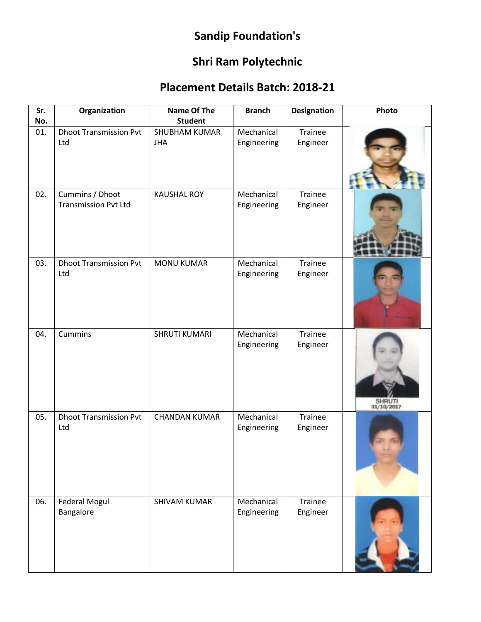## **Sandip Foundation's**

## **Shri Ram Polytechnic**

## **Placement Details Batch: 2018-21**

| Sr.<br>No. | Organization                                   | <b>Name Of The</b><br><b>Student</b> | <b>Branch</b>             | <b>Designation</b>         | Photo                |
|------------|------------------------------------------------|--------------------------------------|---------------------------|----------------------------|----------------------|
| 01.        | <b>Dhoot Transmission Pvt</b><br>Ltd           | <b>SHUBHAM KUMAR</b><br><b>JHA</b>   | Mechanical<br>Engineering | <b>Trainee</b><br>Engineer |                      |
| 02.        | Cummins / Dhoot<br><b>Transmission Pvt Ltd</b> | <b>KAUSHAL ROY</b>                   | Mechanical<br>Engineering | Trainee<br>Engineer        |                      |
| 03.        | <b>Dhoot Transmission Pvt</b><br>Ltd           | <b>MONU KUMAR</b>                    | Mechanical<br>Engineering | Trainee<br>Engineer        |                      |
| 04.        | <b>Cummins</b>                                 | <b>SHRUTI KUMARI</b>                 | Mechanical<br>Engineering | Trainee<br>Engineer        | SHRUTI<br>31/10/2017 |
| 05.        | <b>Dhoot Transmission Pvt</b><br>Ltd           | <b>CHANDAN KUMAR</b>                 | Mechanical<br>Engineering | Trainee<br>Engineer        |                      |
| 06.        | Federal Mogul<br>Bangalore                     | <b>SHIVAM KUMAR</b>                  | Mechanical<br>Engineering | Trainee<br>Engineer        |                      |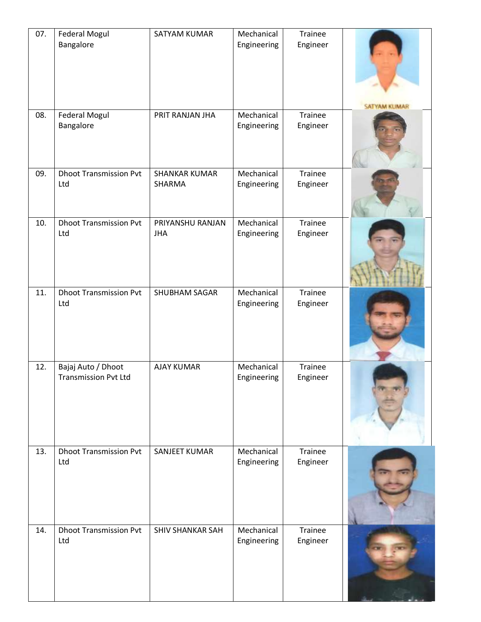| 07. | <b>Federal Mogul</b><br>Bangalore                 | SATYAM KUMAR                   | Mechanical<br>Engineering | Trainee<br>Engineer | <b>SATYAM KUMAR</b> |
|-----|---------------------------------------------------|--------------------------------|---------------------------|---------------------|---------------------|
| 08. | <b>Federal Mogul</b><br>Bangalore                 | PRIT RANJAN JHA                | Mechanical<br>Engineering | Trainee<br>Engineer |                     |
| 09. | <b>Dhoot Transmission Pvt</b><br>Ltd              | <b>SHANKAR KUMAR</b><br>SHARMA | Mechanical<br>Engineering | Trainee<br>Engineer |                     |
| 10. | <b>Dhoot Transmission Pvt</b><br>Ltd              | PRIYANSHU RANJAN<br><b>JHA</b> | Mechanical<br>Engineering | Trainee<br>Engineer |                     |
| 11. | <b>Dhoot Transmission Pvt</b><br>Ltd              | SHUBHAM SAGAR                  | Mechanical<br>Engineering | Trainee<br>Engineer |                     |
| 12. | Bajaj Auto / Dhoot<br><b>Transmission Pvt Ltd</b> | <b>AJAY KUMAR</b>              | Mechanical<br>Engineering | Trainee<br>Engineer |                     |
| 13. | <b>Dhoot Transmission Pvt</b><br>Ltd              | SANJEET KUMAR                  | Mechanical<br>Engineering | Trainee<br>Engineer |                     |
| 14. | <b>Dhoot Transmission Pvt</b><br>Ltd              | <b>SHIV SHANKAR SAH</b>        | Mechanical<br>Engineering | Trainee<br>Engineer |                     |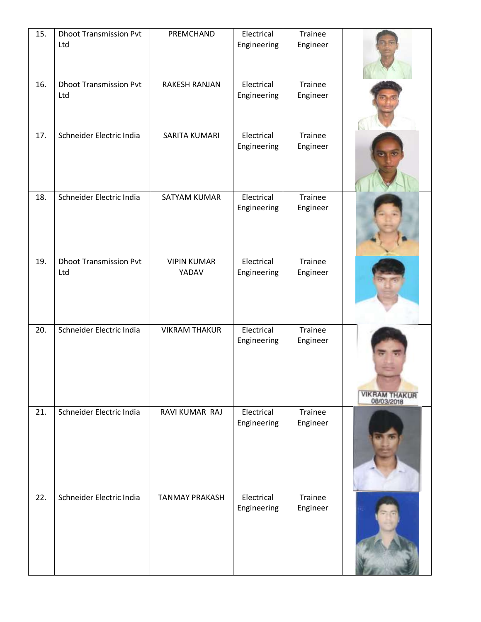| 15. | <b>Dhoot Transmission Pvt</b> | PREMCHAND             | Electrical                | Trainee             |                                    |
|-----|-------------------------------|-----------------------|---------------------------|---------------------|------------------------------------|
|     | Ltd                           |                       | Engineering               | Engineer            |                                    |
| 16. | <b>Dhoot Transmission Pvt</b> | RAKESH RANJAN         | Electrical                | Trainee             |                                    |
|     | Ltd                           |                       | Engineering               | Engineer            |                                    |
| 17. | Schneider Electric India      | SARITA KUMARI         | Electrical<br>Engineering | Trainee<br>Engineer |                                    |
|     |                               |                       |                           |                     |                                    |
| 18. | Schneider Electric India      | SATYAM KUMAR          | Electrical<br>Engineering | Trainee<br>Engineer |                                    |
|     |                               |                       |                           |                     |                                    |
| 19. | <b>Dhoot Transmission Pvt</b> | <b>VIPIN KUMAR</b>    | Electrical                | Trainee             |                                    |
|     | Ltd                           | YADAV                 | Engineering               | Engineer            |                                    |
| 20. | Schneider Electric India      | <b>VIKRAM THAKUR</b>  | Electrical                | Trainee             |                                    |
|     |                               |                       | Engineering               | Engineer            | <b>VIKRAM THAKUR</b><br>08/03/2018 |
| 21. | Schneider Electric India      | RAVI KUMAR RAJ        | Electrical<br>Engineering | Trainee<br>Engineer |                                    |
|     |                               |                       |                           |                     |                                    |
| 22. | Schneider Electric India      | <b>TANMAY PRAKASH</b> | Electrical<br>Engineering | Trainee<br>Engineer |                                    |
|     |                               |                       |                           |                     |                                    |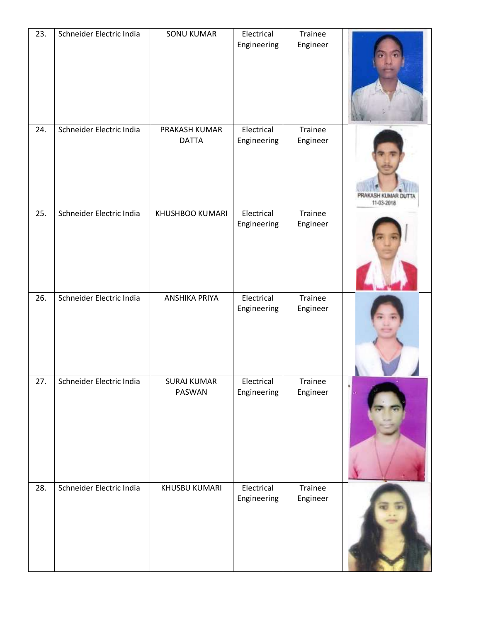| 23. | Schneider Electric India | <b>SONU KUMAR</b>             | Electrical<br>Engineering | Trainee<br>Engineer |                                 |
|-----|--------------------------|-------------------------------|---------------------------|---------------------|---------------------------------|
| 24. | Schneider Electric India | PRAKASH KUMAR<br><b>DATTA</b> | Electrical<br>Engineering | Trainee<br>Engineer | PRAKASH KUMAR DU'<br>11-03-2018 |
| 25. | Schneider Electric India | KHUSHBOO KUMARI               | Electrical<br>Engineering | Trainee<br>Engineer |                                 |
| 26. | Schneider Electric India | <b>ANSHIKA PRIYA</b>          | Electrical<br>Engineering | Trainee<br>Engineer |                                 |
| 27. | Schneider Electric India | SURAJ KUMAR<br>PASWAN         | Electrical<br>Engineering | Trainee<br>Engineer |                                 |
| 28. | Schneider Electric India | KHUSBU KUMARI                 | Electrical<br>Engineering | Trainee<br>Engineer |                                 |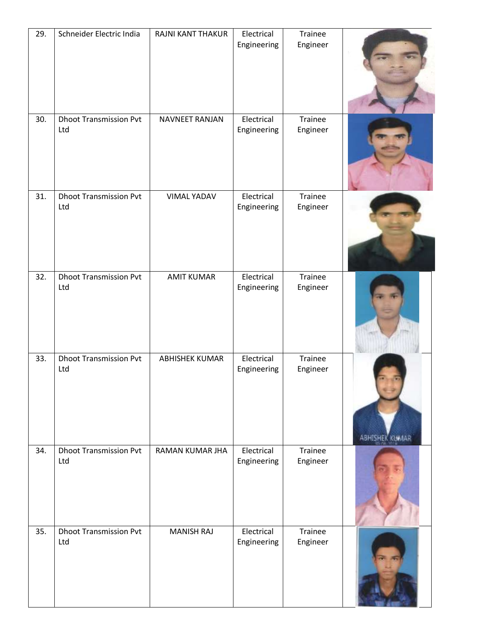| 29. | Schneider Electric India             | RAJNI KANT THAKUR      | Electrical<br>Engineering | Trainee<br>Engineer        |                        |
|-----|--------------------------------------|------------------------|---------------------------|----------------------------|------------------------|
| 30. | <b>Dhoot Transmission Pvt</b><br>Ltd | <b>NAVNEET RANJAN</b>  | Electrical<br>Engineering | Trainee<br>Engineer        |                        |
| 31. | <b>Dhoot Transmission Pvt</b><br>Ltd | <b>VIMAL YADAV</b>     | Electrical<br>Engineering | Trainee<br>Engineer        |                        |
| 32. | <b>Dhoot Transmission Pvt</b><br>Ltd | <b>AMIT KUMAR</b>      | Electrical<br>Engineering | Trainee<br>Engineer        |                        |
| 33. | <b>Dhoot Transmission Pvt</b><br>Ltd | <b>ABHISHEK KUMAR</b>  | Electrical<br>Engineering | Trainee<br>Engineer        | <b>ABHISHEK KUMAAR</b> |
| 34. | <b>Dhoot Transmission Pvt</b><br>Ltd | <b>RAMAN KUMAR JHA</b> | Electrical<br>Engineering | <b>Trainee</b><br>Engineer |                        |
| 35. | <b>Dhoot Transmission Pvt</b><br>Ltd | <b>MANISH RAJ</b>      | Electrical<br>Engineering | <b>Trainee</b><br>Engineer |                        |